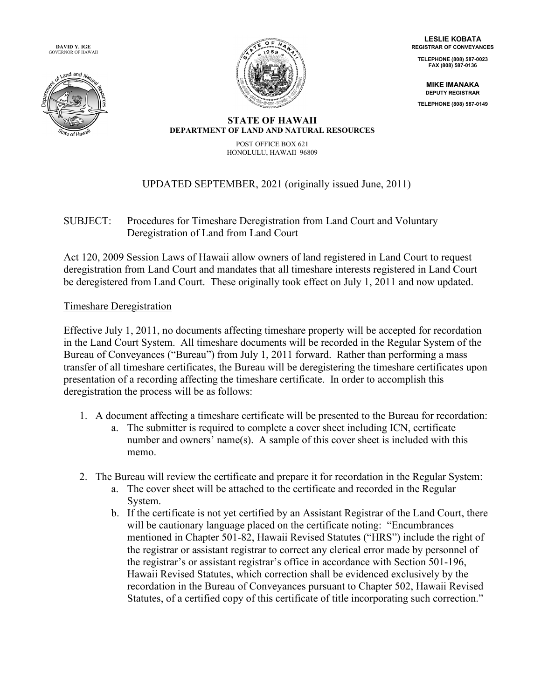**DAVID Y. IGE** GOVERNOR OF HAWAII





**LESLIE KOBATA REGISTRAR OF CONVEYANCES**

**TELEPHONE (808) 587-0023 FAX (808) 587-0136**

**MIKE IMANAKA DEPUTY REGISTRAR**

**TELEPHONE (808) 587-0149**

#### **STATE OF HAWAII DEPARTMENT OF LAND AND NATURAL RESOURCES**

POST OFFICE BOX 621 HONOLULU, HAWAII 96809

# UPDATED SEPTEMBER, 2021 (originally issued June, 2011)

## SUBJECT: Procedures for Timeshare Deregistration from Land Court and Voluntary Deregistration of Land from Land Court

Act 120, 2009 Session Laws of Hawaii allow owners of land registered in Land Court to request deregistration from Land Court and mandates that all timeshare interests registered in Land Court be deregistered from Land Court. These originally took effect on July 1, 2011 and now updated.

### Timeshare Deregistration

Effective July 1, 2011, no documents affecting timeshare property will be accepted for recordation in the Land Court System. All timeshare documents will be recorded in the Regular System of the Bureau of Conveyances ("Bureau") from July 1, 2011 forward. Rather than performing a mass transfer of all timeshare certificates, the Bureau will be deregistering the timeshare certificates upon presentation of a recording affecting the timeshare certificate. In order to accomplish this deregistration the process will be as follows:

- 1. A document affecting a timeshare certificate will be presented to the Bureau for recordation:
	- a. The submitter is required to complete a cover sheet including ICN, certificate number and owners' name(s). A sample of this cover sheet is included with this memo.
- 2. The Bureau will review the certificate and prepare it for recordation in the Regular System:
	- a. The cover sheet will be attached to the certificate and recorded in the Regular System.
	- b. If the certificate is not yet certified by an Assistant Registrar of the Land Court, there will be cautionary language placed on the certificate noting: "Encumbrances" mentioned in Chapter 501-82, Hawaii Revised Statutes ("HRS") include the right of the registrar or assistant registrar to correct any clerical error made by personnel of the registrar's or assistant registrar's office in accordance with Section 501-196, Hawaii Revised Statutes, which correction shall be evidenced exclusively by the recordation in the Bureau of Conveyances pursuant to Chapter 502, Hawaii Revised Statutes, of a certified copy of this certificate of title incorporating such correction."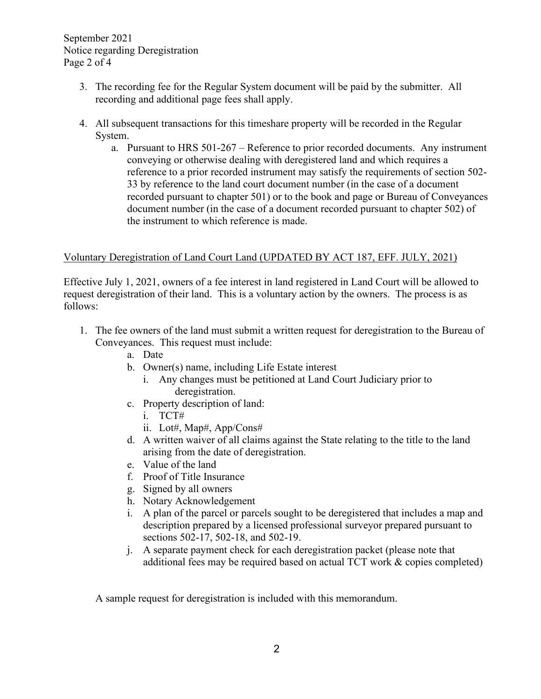September 2021 Notice regarding Deregistration Page 2 of 4

- 3. The recording fee for the Regular System document will be paid by the submitter. All recording and additional page fees shall apply.
- 4. All subsequent transactions for this timeshare property will be recorded in the Regular System.
	- a. Pursuant to HRS 501-267 Reference to prior recorded documents. Any instrument conveying or otherwise dealing with deregistered land and which requires a reference to a prior recorded instrument may satisfy the requirements of section 502- 33 by reference to the land court document number (in the case of a document recorded pursuant to chapter 501) or to the book and page or Bureau of Conveyances document number (in the case of a document recorded pursuant to chapter 502) of the instrument to which reference is made.

### Voluntary Deregistration of Land Court Land (UPDATED BY ACT 187, EFF. JULY, 2021)

Effective July 1, 2021, owners of a fee interest in land registered in Land Court will be allowed to request deregistration of their land. This is a voluntary action by the owners. The process is as follows:

- 1. The fee owners of the land must submit a written request for deregistration to the Bureau of Conveyances. This request must include:
	- a. Date
	- b. Owner(s) name, including Life Estate interest
		- i. Any changes must be petitioned at Land Court Judiciary prior to deregistration.
	- c. Property description of land:
		- i. TCT#
		- ii. Lot#, Map#, App/Cons#
	- d. A written waiver of all claims against the State relating to the title to the land arising from the date of deregistration.
	- e. Value of the land
	- f. Proof of Title Insurance
	- g. Signed by all owners
	- h. Notary Acknowledgement
	- i. A plan of the parcel or parcels sought to be deregistered that includes a map and description prepared by a licensed professional surveyor prepared pursuant to sections 502-17, 502-18, and 502-19.
	- j. A separate payment check for each deregistration packet (please note that additional fees may be required based on actual TCT work & copies completed)

A sample request for deregistration is included with this memorandum.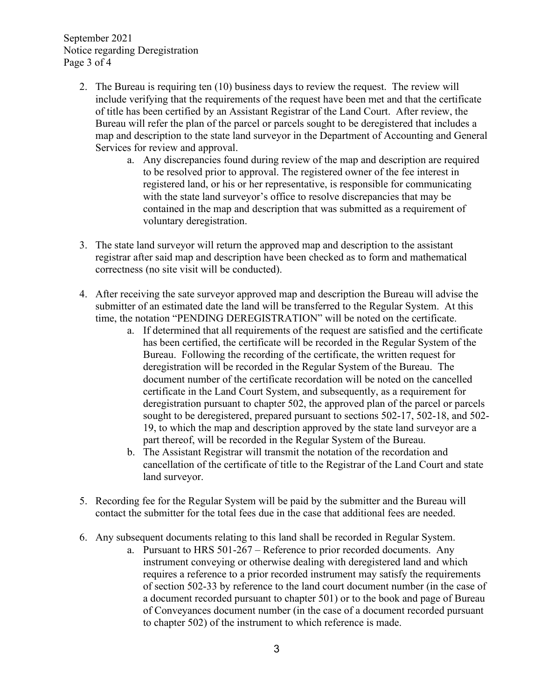September 2021 Notice regarding Deregistration Page 3 of 4

- 2. The Bureau is requiring ten (10) business days to review the request. The review will include verifying that the requirements of the request have been met and that the certificate of title has been certified by an Assistant Registrar of the Land Court. After review, the Bureau will refer the plan of the parcel or parcels sought to be deregistered that includes a map and description to the state land surveyor in the Department of Accounting and General Services for review and approval.
	- a. Any discrepancies found during review of the map and description are required to be resolved prior to approval. The registered owner of the fee interest in registered land, or his or her representative, is responsible for communicating with the state land surveyor's office to resolve discrepancies that may be contained in the map and description that was submitted as a requirement of voluntary deregistration.
- 3. The state land surveyor will return the approved map and description to the assistant registrar after said map and description have been checked as to form and mathematical correctness (no site visit will be conducted).
- 4. After receiving the sate surveyor approved map and description the Bureau will advise the submitter of an estimated date the land will be transferred to the Regular System. At this time, the notation "PENDING DEREGISTRATION" will be noted on the certificate.
	- a. If determined that all requirements of the request are satisfied and the certificate has been certified, the certificate will be recorded in the Regular System of the Bureau. Following the recording of the certificate, the written request for deregistration will be recorded in the Regular System of the Bureau. The document number of the certificate recordation will be noted on the cancelled certificate in the Land Court System, and subsequently, as a requirement for deregistration pursuant to chapter 502, the approved plan of the parcel or parcels sought to be deregistered, prepared pursuant to sections 502-17, 502-18, and 502- 19, to which the map and description approved by the state land surveyor are a part thereof, will be recorded in the Regular System of the Bureau.
	- b. The Assistant Registrar will transmit the notation of the recordation and cancellation of the certificate of title to the Registrar of the Land Court and state land surveyor.
- 5. Recording fee for the Regular System will be paid by the submitter and the Bureau will contact the submitter for the total fees due in the case that additional fees are needed.
- 6. Any subsequent documents relating to this land shall be recorded in Regular System.
	- a. Pursuant to HRS 501-267 Reference to prior recorded documents. Any instrument conveying or otherwise dealing with deregistered land and which requires a reference to a prior recorded instrument may satisfy the requirements of section 502-33 by reference to the land court document number (in the case of a document recorded pursuant to chapter 501) or to the book and page of Bureau of Conveyances document number (in the case of a document recorded pursuant to chapter 502) of the instrument to which reference is made.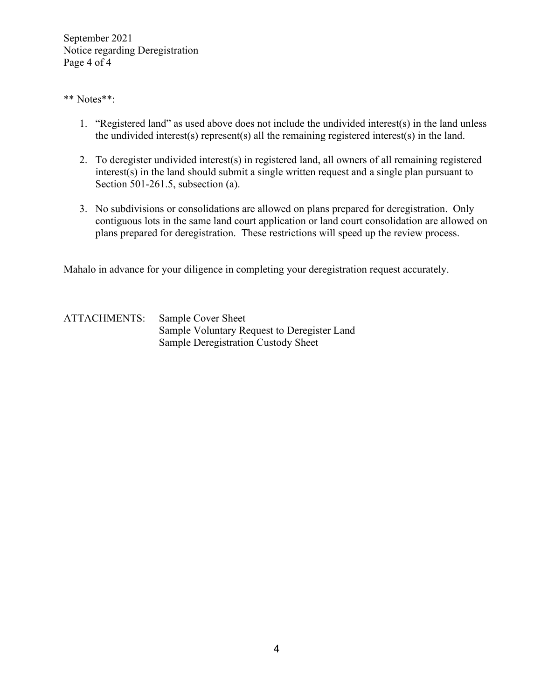September 2021 Notice regarding Deregistration Page 4 of 4

#### \*\* Notes\*\*:

- 1. "Registered land" as used above does not include the undivided interest(s) in the land unless the undivided interest(s) represent(s) all the remaining registered interest(s) in the land.
- 2. To deregister undivided interest(s) in registered land, all owners of all remaining registered interest(s) in the land should submit a single written request and a single plan pursuant to Section 501-261.5, subsection (a).
- 3. No subdivisions or consolidations are allowed on plans prepared for deregistration. Only contiguous lots in the same land court application or land court consolidation are allowed on plans prepared for deregistration. These restrictions will speed up the review process.

Mahalo in advance for your diligence in completing your deregistration request accurately.

ATTACHMENTS: Sample Cover Sheet Sample Voluntary Request to Deregister Land Sample Deregistration Custody Sheet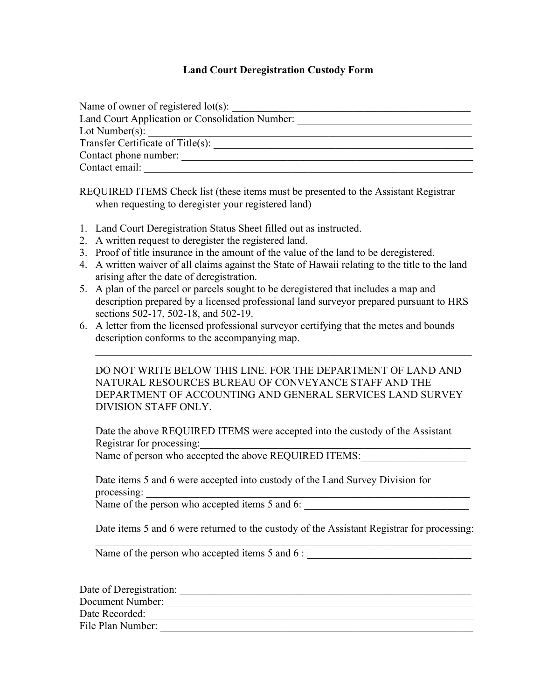#### **Land Court Deregistration Custody Form**

| Name of owner of registered $lot(s)$ :          |
|-------------------------------------------------|
| Land Court Application or Consolidation Number: |
| Lot Number(s):                                  |
| Transfer Certificate of Title(s):               |
| Contact phone number:                           |
| Contact email:                                  |

REQUIRED ITEMS Check list (these items must be presented to the Assistant Registrar when requesting to deregister your registered land)

- 1. Land Court Deregistration Status Sheet filled out as instructed.
- 2. A written request to deregister the registered land.
- 3. Proof of title insurance in the amount of the value of the land to be deregistered.
- 4. A written waiver of all claims against the State of Hawaii relating to the title to the land arising after the date of deregistration.
- 5. A plan of the parcel or parcels sought to be deregistered that includes a map and description prepared by a licensed professional land surveyor prepared pursuant to HRS sections 502-17, 502-18, and 502-19.
- 6. A letter from the licensed professional surveyor certifying that the metes and bounds description conforms to the accompanying map.

| DO NOT WRITE BELOW THIS LINE. FOR THE DEPARTMENT OF LAND AND |
|--------------------------------------------------------------|
| NATURAL RESOURCES BUREAU OF CONVEYANCE STAFF AND THE         |
| DEPARTMENT OF ACCOUNTING AND GENERAL SERVICES LAND SURVEY    |
| DIVISION STAFF ONLY.                                         |

\_\_\_\_\_\_\_\_\_\_\_\_\_\_\_\_\_\_\_\_\_\_\_\_\_\_\_\_\_\_\_\_\_\_\_\_\_\_\_\_\_\_\_\_\_\_\_\_\_\_\_\_\_\_\_\_\_\_\_\_\_\_\_\_\_\_\_\_\_\_\_

Date the above REQUIRED ITEMS were accepted into the custody of the Assistant Registrar for processing:

Name of person who accepted the above REQUIRED ITEMS:

Date items 5 and 6 were accepted into custody of the Land Survey Division for processing:

Name of the person who accepted items 5 and 6:

Date items 5 and 6 were returned to the custody of the Assistant Registrar for processing: \_\_\_\_\_\_\_\_\_\_\_\_\_\_\_\_\_\_\_\_\_\_\_\_\_\_\_\_\_\_\_\_\_\_\_\_\_\_\_\_\_\_\_\_\_\_\_\_\_\_\_\_\_\_\_\_\_\_\_\_\_\_\_\_\_\_\_\_\_\_\_

Name of the person who accepted items 5 and 6 :

| Date of Deregistration: |  |
|-------------------------|--|
| Document Number:        |  |
| Date Recorded:          |  |
| File Plan Number:       |  |
|                         |  |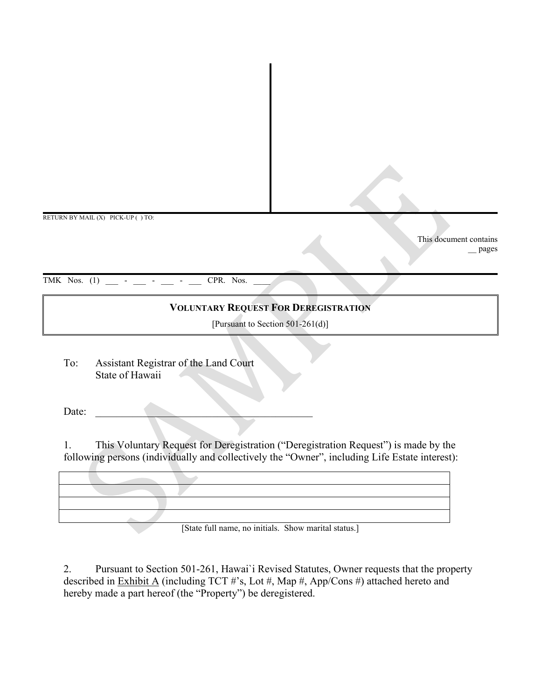RETURN BY MAIL (X) PICK-UP ( ) TO:

This document contains \_\_ pages

TMK Nos.  $(1)$  \_\_\_ - \_\_ - \_\_ - \_\_ CPR. Nos.

### **VOLUNTARY REQUEST FOR DEREGISTRATION**

[Pursuant to Section 501-261(d)]

To: Assistant Registrar of the Land Court State of Hawaii

Date: \_\_\_\_\_\_\_\_\_\_\_\_\_\_\_\_\_\_\_\_\_\_\_\_\_\_\_\_\_\_\_\_\_\_\_\_\_\_\_\_\_

1. This Voluntary Request for Deregistration ("Deregistration Request") is made by the following persons (individually and collectively the "Owner", including Life Estate interest):



[State full name, no initials. Show marital status.]

2. Pursuant to Section 501-261, Hawai`i Revised Statutes, Owner requests that the property described in Exhibit A (including TCT #'s, Lot #, Map #, App/Cons #) attached hereto and hereby made a part hereof (the "Property") be deregistered.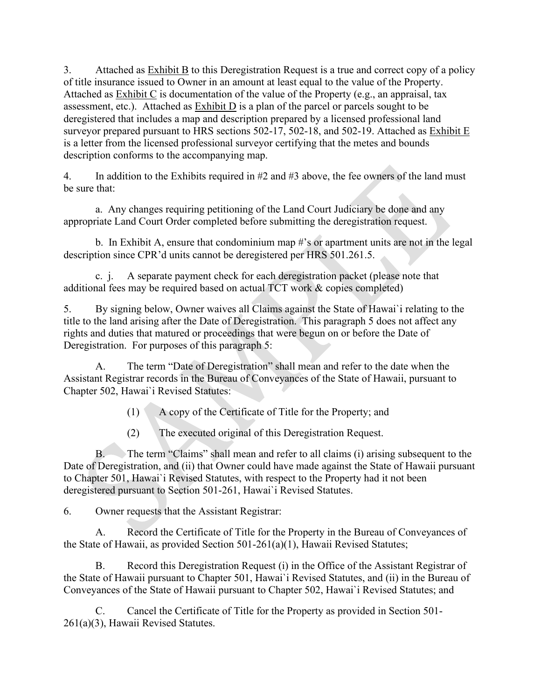3. Attached as Exhibit B to this Deregistration Request is a true and correct copy of a policy of title insurance issued to Owner in an amount at least equal to the value of the Property. Attached as Exhibit C is documentation of the value of the Property (e.g., an appraisal, tax assessment, etc.). Attached as Exhibit D is a plan of the parcel or parcels sought to be deregistered that includes a map and description prepared by a licensed professional land surveyor prepared pursuant to HRS sections 502-17, 502-18, and 502-19. Attached as Exhibit E is a letter from the licensed professional surveyor certifying that the metes and bounds description conforms to the accompanying map.

4. In addition to the Exhibits required in  $#2$  and  $#3$  above, the fee owners of the land must be sure that:

a. Any changes requiring petitioning of the Land Court Judiciary be done and any appropriate Land Court Order completed before submitting the deregistration request.

b. In Exhibit A, ensure that condominium map #'s or apartment units are not in the legal description since CPR'd units cannot be deregistered per HRS 501.261.5.

c. j. A separate payment check for each deregistration packet (please note that additional fees may be required based on actual TCT work & copies completed)

5. By signing below, Owner waives all Claims against the State of Hawai`i relating to the title to the land arising after the Date of Deregistration. This paragraph 5 does not affect any rights and duties that matured or proceedings that were begun on or before the Date of Deregistration. For purposes of this paragraph 5:

A. The term "Date of Deregistration" shall mean and refer to the date when the Assistant Registrar records in the Bureau of Conveyances of the State of Hawaii, pursuant to Chapter 502, Hawai`i Revised Statutes:

(1) A copy of the Certificate of Title for the Property; and

(2) The executed original of this Deregistration Request.

B. The term "Claims" shall mean and refer to all claims (i) arising subsequent to the Date of Deregistration, and (ii) that Owner could have made against the State of Hawaii pursuant to Chapter 501, Hawai`i Revised Statutes, with respect to the Property had it not been deregistered pursuant to Section 501-261, Hawai`i Revised Statutes.

6. Owner requests that the Assistant Registrar:

A. Record the Certificate of Title for the Property in the Bureau of Conveyances of the State of Hawaii, as provided Section 501-261(a)(1), Hawaii Revised Statutes;

B. Record this Deregistration Request (i) in the Office of the Assistant Registrar of the State of Hawaii pursuant to Chapter 501, Hawai`i Revised Statutes, and (ii) in the Bureau of Conveyances of the State of Hawaii pursuant to Chapter 502, Hawai`i Revised Statutes; and

C. Cancel the Certificate of Title for the Property as provided in Section 501- 261(a)(3), Hawaii Revised Statutes.